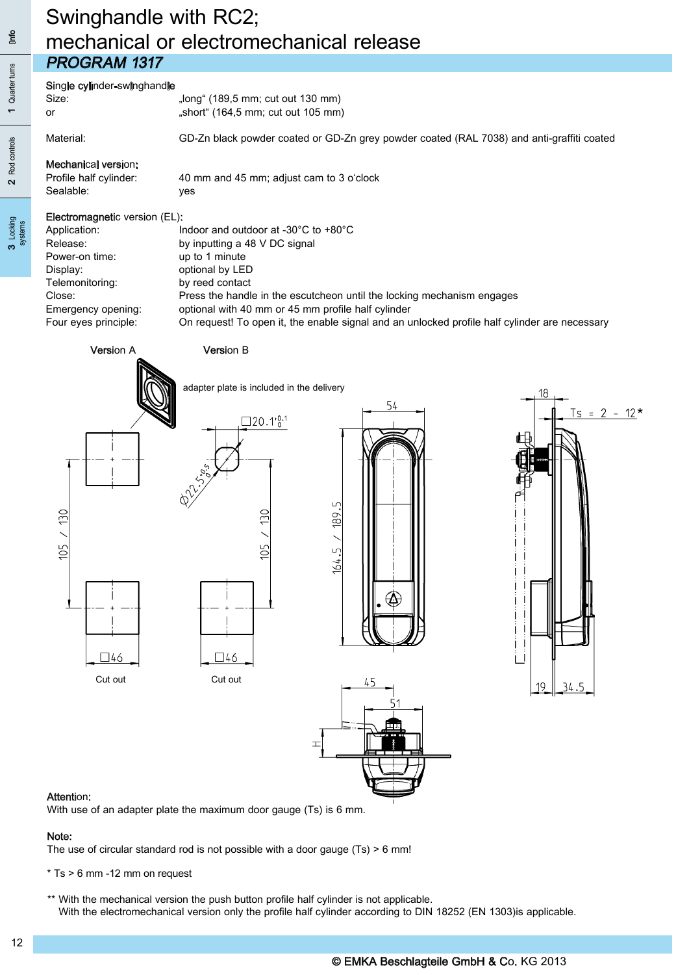## Swinghandle with RC2; mechanical or electromechanical release PRoGRAM 1317

# Single cylinder-swinghandle<br>Size:

| Size: | "long" (189,5 mm; cut out 130 mm)  |
|-------|------------------------------------|
| or    | "short" (164,5 mm; cut out 105 mm) |

Material: GD-Zn black powder coated or GD-Zn grey powder coated (RAL 7038) and anti-graffiti coated

### Mechanical version:

Profile half cylinder: 40 mm and 45 mm; adjust cam to 3 o'clock Sealable: yes

#### Electromagnetic version (EL):

| Application:         | Indoor and outdoor at -30 $^{\circ}$ C to +80 $^{\circ}$ C                                    |
|----------------------|-----------------------------------------------------------------------------------------------|
| Release:             | by inputting a 48 V DC signal                                                                 |
| Power-on time:       | up to 1 minute                                                                                |
| Display:             | optional by LED                                                                               |
| Telemonitoring:      | by reed contact                                                                               |
| Close:               | Press the handle in the escutcheon until the locking mechanism engages                        |
| Emergency opening:   | optional with 40 mm or 45 mm profile half cylinder                                            |
| Four eyes principle: | On request! To open it, the enable signal and an unlocked profile half cylinder are necessary |
|                      |                                                                                               |

#### Version A Version B







#### Attention:

With use of an adapter plate the maximum door gauge (Ts) is 6 mm.

#### Note:

The use of circular standard rod is not possible with a door gauge (Ts) > 6 mm!

\* Ts > 6 mm -12 mm on request

 \*\* With the mechanical version the push button profile half cylinder is not applicable. With the electromechanical version only the profile half cylinder according to DIN 18252 (EN 1303)is applicable.

3 Locking systems

Rod controls

 $\overline{\mathbf{C}}$